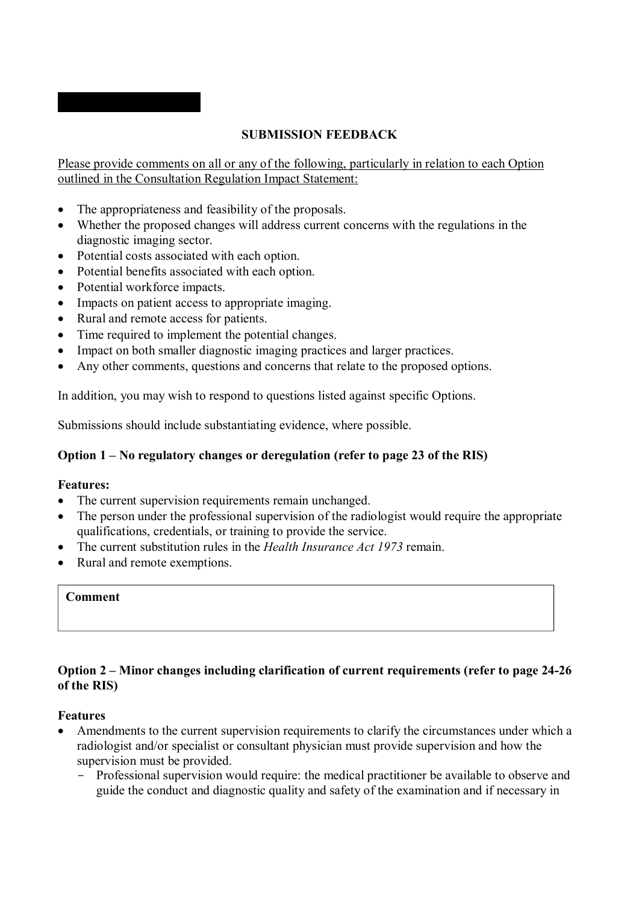# **SUBMISSION FEEDBACK**

Please provide comments on all or any of the following, particularly in relation to each Option outlined in the Consultation Regulation Impact Statement:

- The appropriateness and feasibility of the proposals.
- Whether the proposed changes will address current concerns with the regulations in the diagnostic imaging sector.
- Potential costs associated with each option.
- Potential benefits associated with each option.
- Potential workforce impacts.

**'''''''''''' '''''''''''''''''** 

- Impacts on patient access to appropriate imaging.
- Rural and remote access for patients.
- Time required to implement the potential changes.
- Impact on both smaller diagnostic imaging practices and larger practices.
- Any other comments, questions and concerns that relate to the proposed options.

In addition, you may wish to respond to questions listed against specific Options.

Submissions should include substantiating evidence, where possible.

# **Option 1 – No regulatory changes or deregulation (refer to page 23 of the RIS)**

## **Features:**

- The current supervision requirements remain unchanged.
- The person under the professional supervision of the radiologist would require the appropriate qualifications, credentials, or training to provide the service.
- The current substitution rules in the *Health Insurance Act 1973* remain.
- Rural and remote exemptions.

## **Comment**

## **Option 2 – Minor changes including clarification of current requirements (refer to page 24-26 of the RIS)**

### **Features**

- Amendments to the current supervision requirements to clarify the circumstances under which a radiologist and/or specialist or consultant physician must provide supervision and how the supervision must be provided.
	- Professional supervision would require: the medical practitioner be available to observe and guide the conduct and diagnostic quality and safety of the examination and if necessary in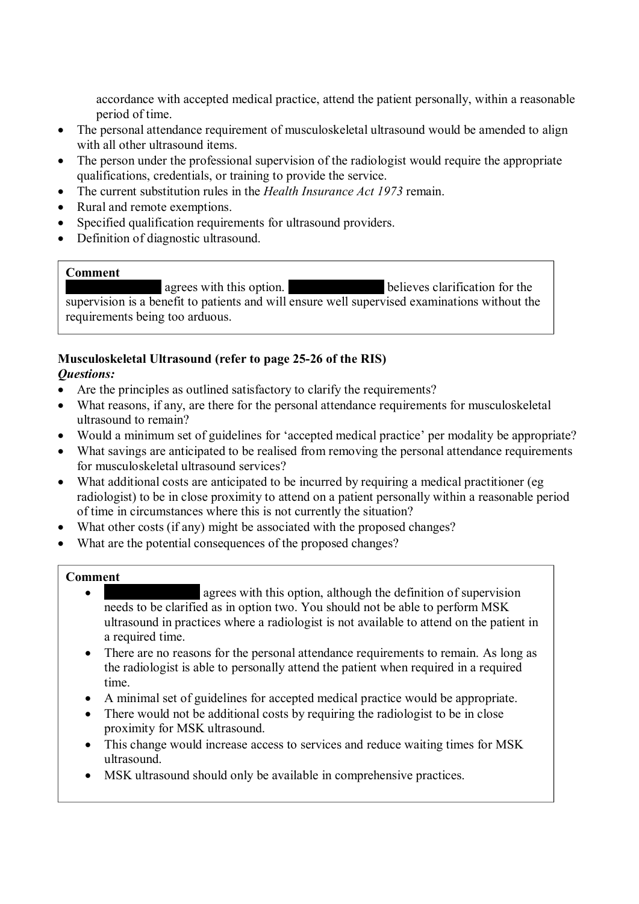accordance with accepted medical practice, attend the patient personally, within a reasonable period of time.

- The personal attendance requirement of musculoskeletal ultrasound would be amended to align with all other ultrasound items.
- The person under the professional supervision of the radiologist would require the appropriate qualifications, credentials, or training to provide the service.
- The current substitution rules in the *Health Insurance Act 1973* remain.
- Rural and remote exemptions.
- Specified qualification requirements for ultrasound providers.
- Definition of diagnostic ultrasound.

### **Comment**

''''''''''''''''' ''''''''''''''''''''''' agrees with this option. ''''''''''''''''' ''''''''''''''''''''''' believes clarification for the supervision is a benefit to patients and will ensure well supervised examinations without the requirements being too arduous.

### **Musculoskeletal Ultrasound (refer to page 25-26 of the RIS)**  *Questions:*

- Are the principles as outlined satisfactory to clarify the requirements?
- What reasons, if any, are there for the personal attendance requirements for musculoskeletal ultrasound to remain?
- Would a minimum set of guidelines for 'accepted medical practice' per modality be appropriate?
- What savings are anticipated to be realised from removing the personal attendance requirements for musculoskeletal ultrasound services?
- What additional costs are anticipated to be incurred by requiring a medical practitioner (eg radiologist) to be in close proximity to attend on a patient personally within a reasonable period of time in circumstances where this is not currently the situation?
- What other costs (if any) might be associated with the proposed changes?
- What are the potential consequences of the proposed changes?

## **Comment**

- ''''''''''''''''' ''''''''''''''''''''''' agrees with this option, although the definition of supervision needs to be clarified as in option two. You should not be able to perform MSK ultrasound in practices where a radiologist is not available to attend on the patient in a required time.
- There are no reasons for the personal attendance requirements to remain. As long as the radiologist is able to personally attend the patient when required in a required time.
- A minimal set of guidelines for accepted medical practice would be appropriate.
- There would not be additional costs by requiring the radiologist to be in close proximity for MSK ultrasound.
- This change would increase access to services and reduce waiting times for MSK ultrasound.
- MSK ultrasound should only be available in comprehensive practices.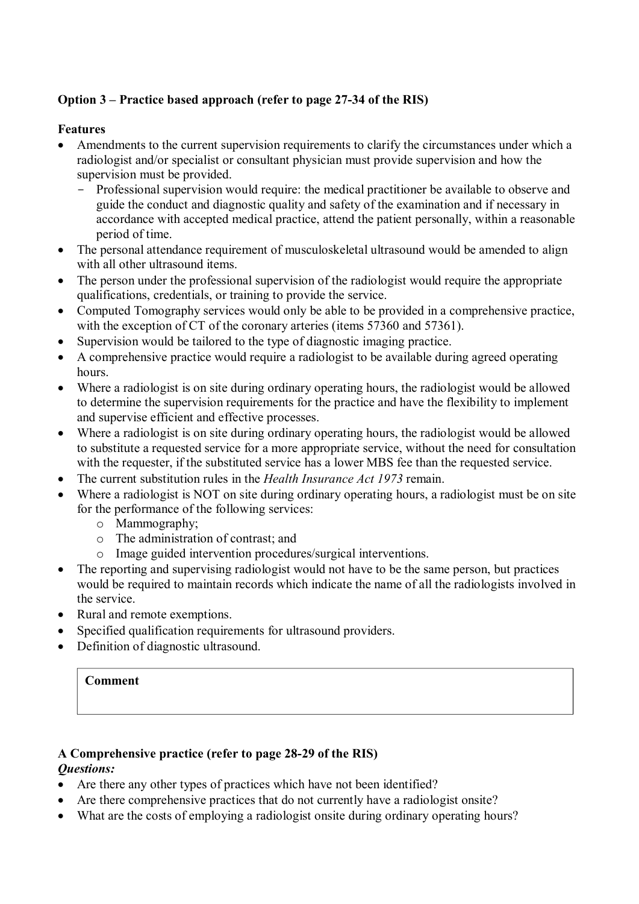# **Option 3 – Practice based approach (refer to page 27-34 of the RIS)**

# **Features**

- Amendments to the current supervision requirements to clarify the circumstances under which a radiologist and/or specialist or consultant physician must provide supervision and how the supervision must be provided.
	- Professional supervision would require: the medical practitioner be available to observe and guide the conduct and diagnostic quality and safety of the examination and if necessary in accordance with accepted medical practice, attend the patient personally, within a reasonable period of time.
- The personal attendance requirement of musculoskeletal ultrasound would be amended to align with all other ultrasound items.
- The person under the professional supervision of the radiologist would require the appropriate qualifications, credentials, or training to provide the service.
- Computed Tomography services would only be able to be provided in a comprehensive practice, with the exception of CT of the coronary arteries (items 57360 and 57361).
- Supervision would be tailored to the type of diagnostic imaging practice.
- A comprehensive practice would require a radiologist to be available during agreed operating hours.
- Where a radiologist is on site during ordinary operating hours, the radiologist would be allowed to determine the supervision requirements for the practice and have the flexibility to implement and supervise efficient and effective processes.
- Where a radiologist is on site during ordinary operating hours, the radiologist would be allowed to substitute a requested service for a more appropriate service, without the need for consultation with the requester, if the substituted service has a lower MBS fee than the requested service.
- The current substitution rules in the *Health Insurance Act 1973* remain.
- Where a radiologist is NOT on site during ordinary operating hours, a radiologist must be on site for the performance of the following services:
	- o Mammography;
	- o The administration of contrast; and
	- o Image guided intervention procedures/surgical interventions.
- The reporting and supervising radiologist would not have to be the same person, but practices would be required to maintain records which indicate the name of all the radiologists involved in the service.
- Rural and remote exemptions.
- Specified qualification requirements for ultrasound providers.
- Definition of diagnostic ultrasound.

## **Comment**

### **A Comprehensive practice (refer to page 28-29 of the RIS)**  *Questions:*

- Are there any other types of practices which have not been identified?
- Are there comprehensive practices that do not currently have a radiologist onsite?
- What are the costs of employing a radiologist onsite during ordinary operating hours?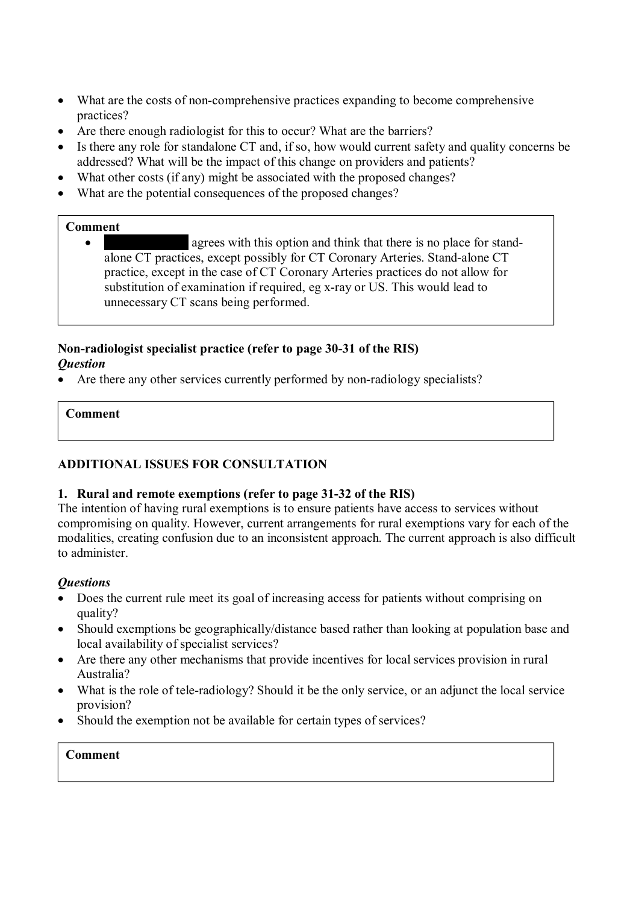- What are the costs of non-comprehensive practices expanding to become comprehensive practices?
- Are there enough radiologist for this to occur? What are the barriers?
- Is there any role for standalone CT and, if so, how would current safety and quality concerns be addressed? What will be the impact of this change on providers and patients?
- What other costs (if any) might be associated with the proposed changes?
- What are the potential consequences of the proposed changes?

## **Comment**

 '''''''''''''' ''''''''''''''''''''' agrees with this option and think that there is no place for standalone CT practices, except possibly for CT Coronary Arteries. Stand-alone CT practice, except in the case of CT Coronary Arteries practices do not allow for substitution of examination if required, eg x-ray or US. This would lead to unnecessary CT scans being performed.

# **Non-radiologist specialist practice (refer to page 30-31 of the RIS)**  *Question*

Are there any other services currently performed by non-radiology specialists?

# **Comment**

# **ADDITIONAL ISSUES FOR CONSULTATION**

## **1. Rural and remote exemptions (refer to page 31-32 of the RIS)**

The intention of having rural exemptions is to ensure patients have access to services without compromising on quality. However, current arrangements for rural exemptions vary for each of the modalities, creating confusion due to an inconsistent approach. The current approach is also difficult to administer.

## *Questions*

- Does the current rule meet its goal of increasing access for patients without comprising on quality?
- Should exemptions be geographically/distance based rather than looking at population base and local availability of specialist services?
- Are there any other mechanisms that provide incentives for local services provision in rural Australia?
- What is the role of tele-radiology? Should it be the only service, or an adjunct the local service provision?
- Should the exemption not be available for certain types of services?

# **Comment**